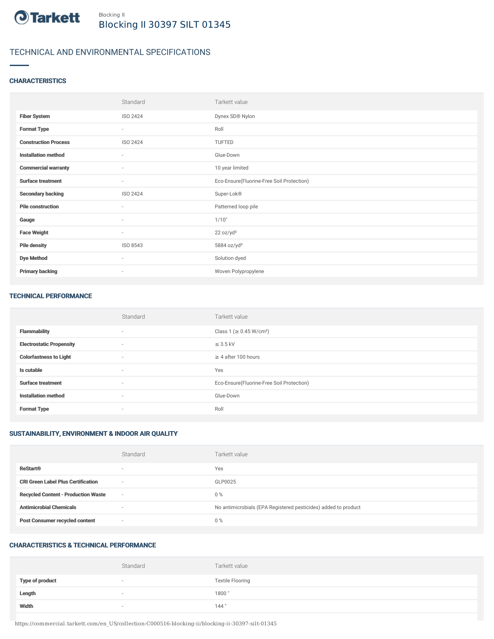

# TECHNICAL AND ENVIRONMENTAL SPECIFICATIONS

# **CHARACTERISTICS**

|                             | Standard | Tarkett value                             |
|-----------------------------|----------|-------------------------------------------|
| <b>Fiber System</b>         | ISO 2424 | Dynex SD® Nylon                           |
| <b>Format Type</b>          | $\sim$   | Roll                                      |
| <b>Construction Process</b> | ISO 2424 | TUFTED                                    |
| <b>Installation method</b>  | $\sim$   | Glue-Down                                 |
| <b>Commercial warranty</b>  | $\sim$   | 10 year limited                           |
| <b>Surface treatment</b>    | $\sim$   | Eco-Ensure(Fluorine-Free Soil Protection) |
| <b>Secondary backing</b>    | ISO 2424 | Super-Lok®                                |
| <b>Pile construction</b>    | $\sim$   | Patterned loop pile                       |
| Gauge                       | $\sim$   | 1/10"                                     |
| <b>Face Weight</b>          | $\sim$   | 22 oz/yd <sup>2</sup>                     |
| <b>Pile density</b>         | ISO 8543 | 5884 oz/yd <sup>3</sup>                   |
| <b>Dye Method</b>           | $\sim$   | Solution dyed                             |
| <b>Primary backing</b>      | $\sim$   | Woven Polypropylene                       |

#### TECHNICAL PERFORMANCE

|                                 | Standard                 | Tarkett value                             |
|---------------------------------|--------------------------|-------------------------------------------|
| <b>Flammability</b>             | $\overline{\phantom{a}}$ | Class 1 (≥ 0.45 W/cm <sup>2</sup> )       |
| <b>Electrostatic Propensity</b> | $\sim$                   | $\leq$ 3.5 kV                             |
| <b>Colorfastness to Light</b>   | $\sim$                   | $\geq$ 4 after 100 hours                  |
| Is cutable                      | $\overline{\phantom{a}}$ | Yes                                       |
| <b>Surface treatment</b>        | $\sim$                   | Eco-Ensure(Fluorine-Free Soil Protection) |
| <b>Installation method</b>      | $\sim$                   | Glue-Down                                 |
| <b>Format Type</b>              | $\overline{\phantom{a}}$ | Roll                                      |

# SUSTAINABILITY, ENVIRONMENT & INDOOR AIR QUALITY

|                                            | Standard                 | Tarkett value                                                  |
|--------------------------------------------|--------------------------|----------------------------------------------------------------|
| <b>ReStart®</b>                            | $\overline{\phantom{a}}$ | Yes                                                            |
| <b>CRI Green Label Plus Certification</b>  | $\overline{\phantom{a}}$ | GLP0025                                                        |
| <b>Recycled Content - Production Waste</b> | $\sim$                   | $0\%$                                                          |
| <b>Antimicrobial Chemicals</b>             | ۰                        | No antimicrobials (EPA Registered pesticides) added to product |
| <b>Post Consumer recycled content</b>      | $\overline{\phantom{a}}$ | $0\%$                                                          |

# CHARACTERISTICS & TECHNICAL PERFORMANCE

|                        | Standard                 | Tarkett value           |
|------------------------|--------------------------|-------------------------|
| <b>Type of product</b> | $\overline{\phantom{a}}$ | <b>Textile Flooring</b> |
| Length                 |                          | 1800                    |
| Width                  |                          | 144"                    |

https://commercial.tarkett.com/en\_US/collection-C000516-blocking-ii/blocking-ii-30397-silt-01345